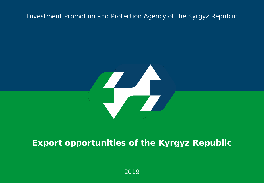#### Investment Promotion and Protection Agency of the Kyrgyz Republic



## **Export opportunities of the Kyrgyz Republic**

2019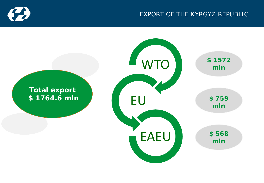

## EXPORT OF THE KYRGYZ REPUBLIC

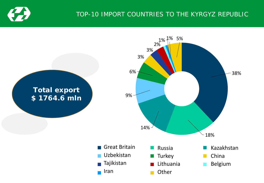

## TOP-10 IMPORT COUNTRIES TO THE KYRGYZ REPUBLIC

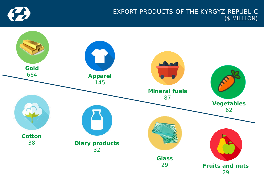

#### EXPORT PRODUCTS OF THE KYRGYZ REPUBLIC (\$ MILLION)

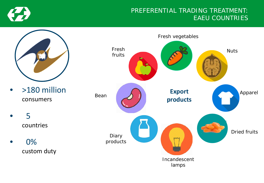

#### PREFERENTIAL TRADING TREATMENT: EAEU COUNTRIES



- >180 million consumers
	- 5 countries
- 0% custom duty

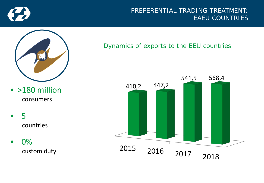

#### PREFERENTIAL TRADING TREATMENT: EAEU COUNTRIES



- >180 million consumers
- 5 countries
- 0% custom duty

Dynamics of exports to the EEU countries

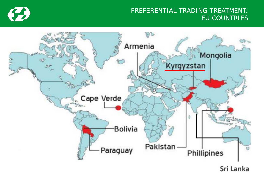

#### PREFERENTIAL TRADING TREATMENT: EU COUNTRIES



Sri Lanka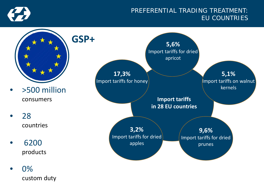

#### PREFERENTIAL TRADING TREATMENT: EU COUNTRIES



custom duty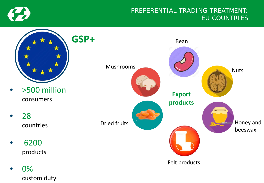

## PREFERENTIAL TRADING TREATMENT: EU COUNTRIES



custom duty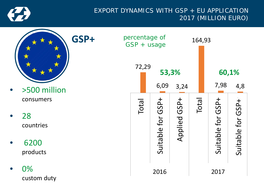

### EXPORT DYNAMICS WITH GSP + EU APPLICATION 2017 (MILLION EURO)

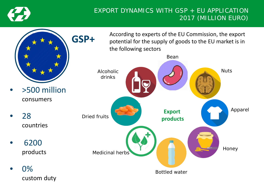

## EXPORT DYNAMICS WITH GSP + EU APPLICATION 2017 (MILLION EURO)

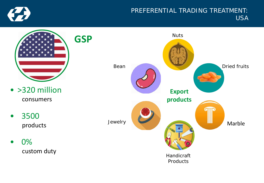

#### PREFERENTIAL TRADING TREATMENT: USA

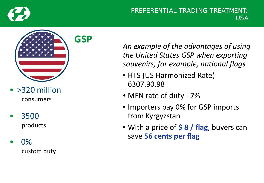

#### PREFERENTIAL TRADING TREATMENT: USA



- > 320 million consumers
- 3500 products

• 0% custom duty *An example of the advantages of using the United States GSP when exporting souvenirs, for example, national flags*

- HTS (US Harmonized Rate) 6307.90.98
- MFN rate of duty 7%
- Importers pay 0% for GSP imports from Kyrgyzstan
- With a price of **\$ 8 / flag**, buyers can save **56 cents per flag**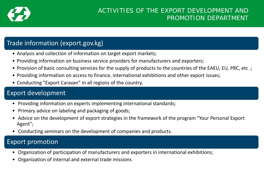

## Trade information (export.gov.kg)

- Analysis and collection of information on target export markets;
- Providing information on business service providers for manufacturers and exporters;
- Provision of basic consulting services for the supply of products to the countries of the EAEU, EU, PRC, etc .;
- Providing information on access to finance, international exhibitions and other export issues;
- Conducting "Export Caravan" in all regions of the country.

## Export development

- Providing information on experts implementing international standards;
- Primary advice on labeling and packaging of goods;
- Advice on the development of export strategies in the framework of the program "Your Personal Export Agent";
- Conducting seminars on the development of companies and products.

#### Export promotion

- Organization of participation of manufacturers and exporters in international exhibitions;
- Organization of internal and external trade missions